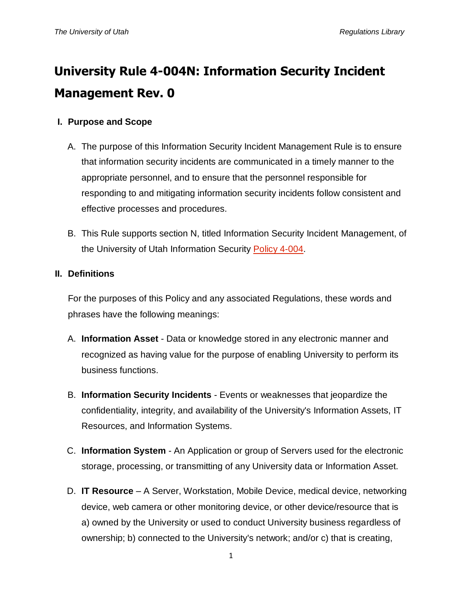# **University Rule 4-004N: Information Security Incident Management Rev. 0**

## **I. Purpose and Scope**

- A. The purpose of this Information Security Incident Management Rule is to ensure that information security incidents are communicated in a timely manner to the appropriate personnel, and to ensure that the personnel responsible for responding to and mitigating information security incidents follow consistent and effective processes and procedures.
- B. This Rule supports section N, titled Information Security Incident Management, of the University of Utah Information Security [Policy 4-004.](http://regulations.utah.edu/it/4-004.php)

## **II. Definitions**

For the purposes of this Policy and any associated Regulations, these words and phrases have the following meanings:

- A. **Information Asset** Data or knowledge stored in any electronic manner and recognized as having value for the purpose of enabling University to perform its business functions.
- B. **Information Security Incidents** Events or weaknesses that jeopardize the confidentiality, integrity, and availability of the University's Information Assets, IT Resources, and Information Systems.
- C. **Information System** An Application or group of Servers used for the electronic storage, processing, or transmitting of any University data or Information Asset.
- D. **IT Resource** A Server, Workstation, Mobile Device, medical device, networking device, web camera or other monitoring device, or other device/resource that is a) owned by the University or used to conduct University business regardless of ownership; b) connected to the University's network; and/or c) that is creating,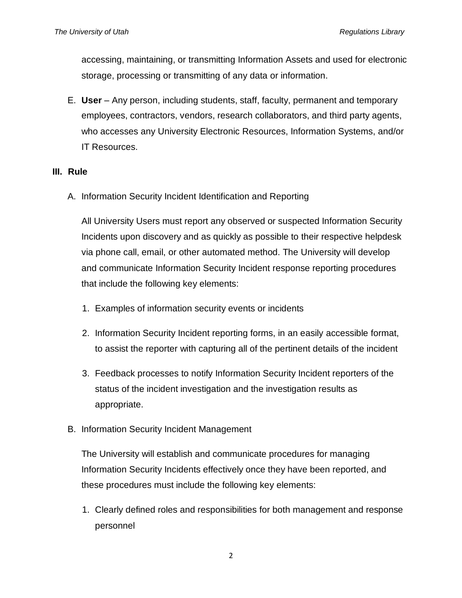accessing, maintaining, or transmitting Information Assets and used for electronic storage, processing or transmitting of any data or information.

E. **User** – Any person, including students, staff, faculty, permanent and temporary employees, contractors, vendors, research collaborators, and third party agents, who accesses any University Electronic Resources, Information Systems, and/or IT Resources.

#### **III. Rule**

A. Information Security Incident Identification and Reporting

All University Users must report any observed or suspected Information Security Incidents upon discovery and as quickly as possible to their respective helpdesk via phone call, email, or other automated method. The University will develop and communicate Information Security Incident response reporting procedures that include the following key elements:

- 1. Examples of information security events or incidents
- 2. Information Security Incident reporting forms, in an easily accessible format, to assist the reporter with capturing all of the pertinent details of the incident
- 3. Feedback processes to notify Information Security Incident reporters of the status of the incident investigation and the investigation results as appropriate.
- B. Information Security Incident Management

The University will establish and communicate procedures for managing Information Security Incidents effectively once they have been reported, and these procedures must include the following key elements:

1. Clearly defined roles and responsibilities for both management and response personnel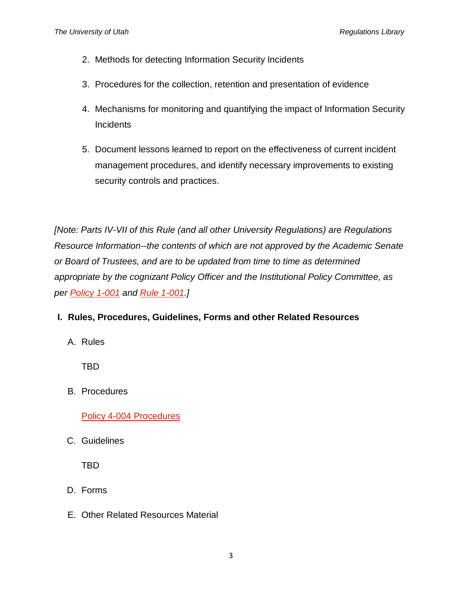- 2. Methods for detecting Information Security Incidents
- 3. Procedures for the collection, retention and presentation of evidence
- 4. Mechanisms for monitoring and quantifying the impact of Information Security Incidents
- 5. Document lessons learned to report on the effectiveness of current incident management procedures, and identify necessary improvements to existing security controls and practices.

*[Note: Parts IV-VII of this Rule (and all other University Regulations) are Regulations Resource Information--the contents of which are not approved by the Academic Senate or Board of Trustees, and are to be updated from time to time as determined appropriate by the cognizant Policy Officer and the Institutional Policy Committee, as per [Policy 1-001](http://regulations.utah.edu/general/1-001.php) and [Rule 1-001.](http://regulations.utah.edu/general/rules/R1-001.php)]*

## **I. Rules, Procedures, Guidelines, Forms and other Related Resources**

A. Rules

TBD

B. Procedures

[Policy 4-004 Procedures](https://uofu.box.com/v/Procedures)

C. Guidelines

TBD

- D. Forms
- E. Other Related Resources Material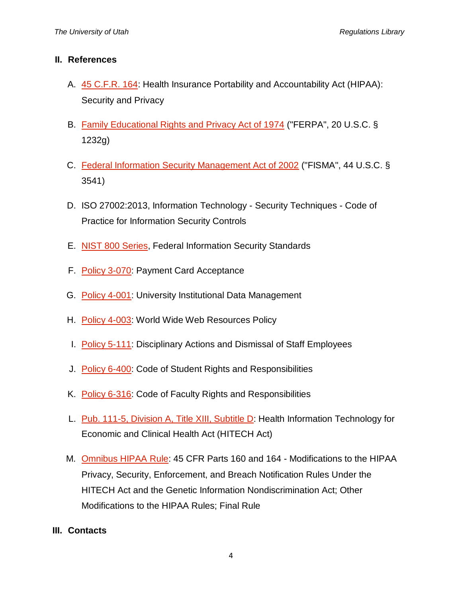### **II. References**

- A. [45 C.F.R. 164:](http://www.gpo.gov/fdsys/pkg/CFR-2011-title45-vol1/pdf/CFR-2011-title45-vol1-part164.pdf) Health Insurance Portability and Accountability Act (HIPAA): Security and Privacy
- B. [Family Educational Rights and Privacy Act of 1974](http://www2.ed.gov/policy/gen/guid/fpco/ferpa/index.html) ("FERPA", 20 U.S.C. § 1232g)
- C. [Federal Information Security Management Act of 2002](http://www.dhs.gov/federal-information-security-management-act-fisma) ("FISMA", 44 U.S.C. § 3541)
- D. ISO 27002:2013, Information Technology Security Techniques Code of Practice for Information Security Controls
- E. [NIST 800 Series,](http://csrc.nist.gov/publications/PubsSPs.html) Federal Information Security Standards
- F. [Policy 3-070:](http://regulations.utah.edu/administration/3-070.php) Payment Card Acceptance
- G. [Policy 4-001:](http://regulations.utah.edu/it/4-001.php) University Institutional Data Management
- H. [Policy 4-003:](http://regulations.utah.edu/it/4-003.php) World Wide Web Resources Policy
- I. [Policy 5-111:](http://regulations.utah.edu/human-resources/5-111.php) Disciplinary Actions and Dismissal of Staff Employees
- J. [Policy 6-400:](http://regulations.utah.edu/academics/6-400.php) Code of Student Rights and Responsibilities
- K. [Policy 6-316:](http://regulations.utah.edu/academics/6-316.php) Code of Faculty Rights and Responsibilities
- L. [Pub. 111-5, Division A, Title XIII, Subtitle D:](http://www.hhs.gov/ocr/privacy/hipaa/understanding/coveredentities/hitechact.pdf) Health Information Technology for Economic and Clinical Health Act (HITECH Act)
- M. [Omnibus HIPAA Rule:](http://www.gpo.gov/fdsys/pkg/FR-2013-01-25/pdf/2013-01073.pdf) 45 CFR Parts 160 and 164 Modifications to the HIPAA Privacy, Security, Enforcement, and Breach Notification Rules Under the HITECH Act and the Genetic Information Nondiscrimination Act; Other Modifications to the HIPAA Rules; Final Rule
- **III. Contacts**